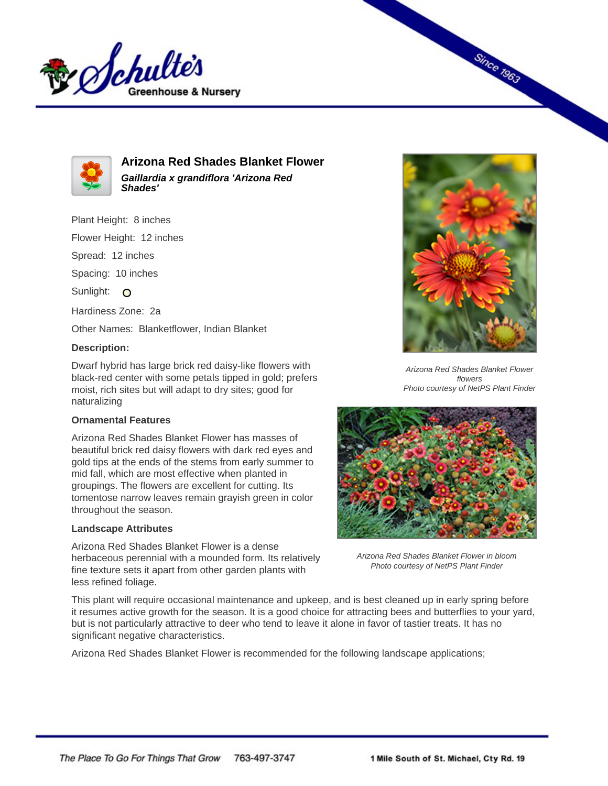



**Arizona Red Shades Blanket Flower Gaillardia x grandiflora 'Arizona Red Shades'**

Plant Height: 8 inches

Flower Height: 12 inches

Spread: 12 inches

Spacing: 10 inches

Sunlight: O

Hardiness Zone: 2a

Other Names: Blanketflower, Indian Blanket

## **Description:**

Dwarf hybrid has large brick red daisy-like flowers with black-red center with some petals tipped in gold; prefers moist, rich sites but will adapt to dry sites; good for naturalizing

## **Ornamental Features**

Arizona Red Shades Blanket Flower has masses of beautiful brick red daisy flowers with dark red eyes and gold tips at the ends of the stems from early summer to mid fall, which are most effective when planted in groupings. The flowers are excellent for cutting. Its tomentose narrow leaves remain grayish green in color throughout the season.

## **Landscape Attributes**

Arizona Red Shades Blanket Flower is a dense herbaceous perennial with a mounded form. Its relatively fine texture sets it apart from other garden plants with less refined foliage.



**Since 1963** 

Arizona Red Shades Blanket Flower flowers Photo courtesy of NetPS Plant Finder



Arizona Red Shades Blanket Flower in bloom Photo courtesy of NetPS Plant Finder

This plant will require occasional maintenance and upkeep, and is best cleaned up in early spring before it resumes active growth for the season. It is a good choice for attracting bees and butterflies to your yard, but is not particularly attractive to deer who tend to leave it alone in favor of tastier treats. It has no significant negative characteristics.

Arizona Red Shades Blanket Flower is recommended for the following landscape applications;